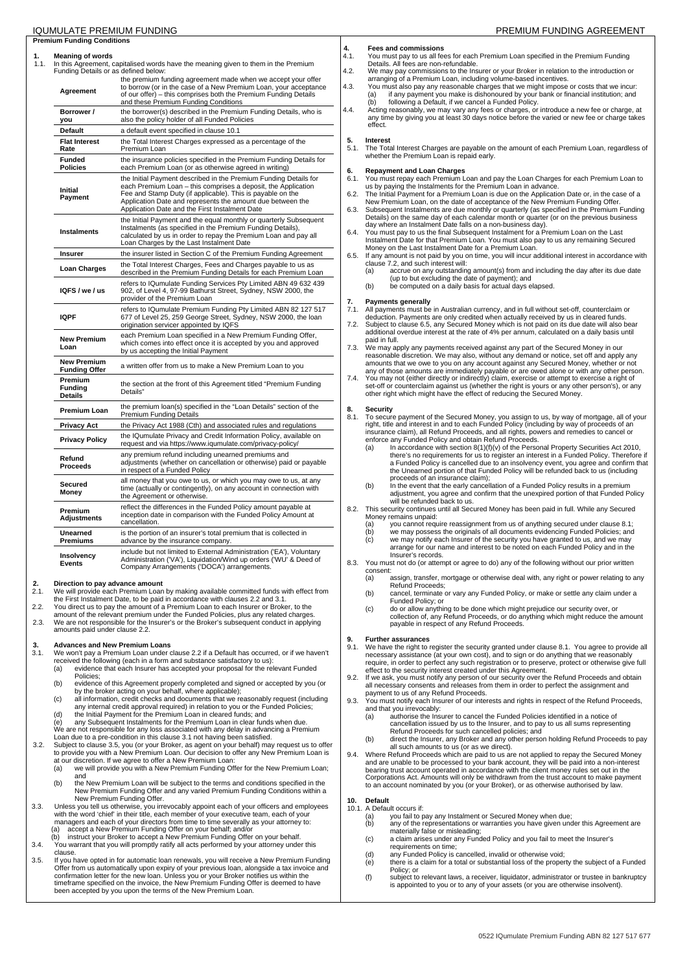| IQUMULATE PREMIUM FUNDING                                       |                                                                                                                                                                                                                                                                                                                 |
|-----------------------------------------------------------------|-----------------------------------------------------------------------------------------------------------------------------------------------------------------------------------------------------------------------------------------------------------------------------------------------------------------|
| <b>Premium Funding Conditions</b>                               |                                                                                                                                                                                                                                                                                                                 |
| <b>Meaning of words</b><br>Funding Details or as defined below: | In this Agreement, capitalised words have the meaning given to them in the Premium                                                                                                                                                                                                                              |
| Agreement                                                       | the premium funding agreement made when we accept your offer<br>to borrow (or in the case of a New Premium Loan, your acceptance<br>of our offer) - this comprises both the Premium Funding Details<br>and these Premium Funding Conditions                                                                     |
| Borrower /<br>you                                               | the borrower(s) described in the Premium Funding Details, who is<br>also the policy holder of all Funded Policies                                                                                                                                                                                               |
| <b>Default</b>                                                  | a default event specified in clause 10.1                                                                                                                                                                                                                                                                        |
| <b>Flat Interest</b><br>Rate                                    | the Total Interest Charges expressed as a percentage of the<br>Premium Loan                                                                                                                                                                                                                                     |
| <b>Funded</b><br><b>Policies</b>                                | the insurance policies specified in the Premium Funding Details for<br>each Premium Loan (or as otherwise agreed in writing)                                                                                                                                                                                    |
| <b>Initial</b><br>Payment                                       | the Initial Payment described in the Premium Funding Details for<br>each Premium Loan - this comprises a deposit, the Application<br>Fee and Stamp Duty (if applicable). This is payable on the<br>Application Date and represents the amount due between the<br>Application Date and the First Instalment Date |
| Instalments                                                     | the Initial Payment and the equal monthly or quarterly Subsequent<br>Instalments (as specified in the Premium Funding Details),<br>calculated by us in order to repay the Premium Loan and pay all<br>Loan Charges by the Last Instalment Date                                                                  |
| Insurer                                                         | the insurer listed in Section C of the Premium Funding Agreement                                                                                                                                                                                                                                                |
| <b>Loan Charges</b>                                             | the Total Interest Charges, Fees and Charges payable to us as<br>described in the Premium Funding Details for each Premium Loan                                                                                                                                                                                 |
| IQFS / we / us                                                  | refers to IQumulate Funding Services Pty Limited ABN 49 632 439<br>902, of Level 4, 97-99 Bathurst Street, Sydney, NSW 2000, the<br>provider of the Premium Loan                                                                                                                                                |
| <b>IQPF</b>                                                     | refers to IQumulate Premium Funding Pty Limited ABN 82 127 517<br>677 of Level 25, 259 George Street, Sydney, NSW 2000, the loan<br>origination servicer appointed by IQFS                                                                                                                                      |
| <b>New Premium</b><br>Loan                                      | each Premium Loan specified in a New Premium Funding Offer,<br>which comes into effect once it is accepted by you and approved<br>by us accepting the Initial Payment                                                                                                                                           |
| <b>New Premium</b><br>Funding Offer                             | a written offer from us to make a New Premium Loan to you                                                                                                                                                                                                                                                       |
| Premium<br><b>Funding</b><br><b>Details</b>                     | the section at the front of this Agreement titled "Premium Funding"<br>Details"                                                                                                                                                                                                                                 |
| <b>Premium Loan</b>                                             | the premium loan(s) specified in the "Loan Details" section of the<br><b>Premium Funding Details</b>                                                                                                                                                                                                            |
| <b>Privacy Act</b>                                              | the Privacy Act 1988 (Cth) and associated rules and regulations                                                                                                                                                                                                                                                 |
| <b>Privacy Policy</b>                                           | the IQumulate Privacy and Credit Information Policy, available on<br>request and via https://www.iqumulate.com/privacy-policy/                                                                                                                                                                                  |
| Refund<br><b>Proceeds</b>                                       | any premium refund including unearned premiums and<br>adjustments (whether on cancellation or otherwise) paid or payable<br>in respect of a Funded Policy                                                                                                                                                       |
| Secured<br>Money                                                | all money that you owe to us, or which you may owe to us, at any<br>time (actually or contingently), on any account in connection with<br>the Agreement or otherwise.                                                                                                                                           |
| Premium<br>Adjustments                                          | reflect the differences in the Funded Policy amount payable at<br>inception date in comparison with the Funded Policy Amount at<br>cancellation.                                                                                                                                                                |
| Unearned<br><b>Premiums</b>                                     | is the portion of an insurer's total premium that is collected in<br>advance by the insurance company.                                                                                                                                                                                                          |
| Insolvency<br>Events                                            | include but not limited to External Administration ('EA'), Voluntary<br>Administration ('VA'), Liquidation/Wind up orders ('WU' & Deed of<br>Company Arrangements ('DOCA') arrangements.                                                                                                                        |

# **2. Direction to pay advance amount**<br>2.1 We will provide each Premium Loan

- 2.1. We will provide each Premium Loan by making available committed funds with effect from the First Instalment Date, to be paid in accordance with clauses 2.2 and 3.1.
- 2.2. You direct us to pay the amount of a Premium Loan to each Insurer or Broker, to the
- amount of the relevant premium under the Funded Policies, plus any related charges. 2.3. We are not responsible for the Insurer's or the Broker's subsequent conduct in applying
- amounts paid under clause 2.2.

# **3. Advances and New Premium Loans**<br>**3.1** We won't pay a Premium Loan under o

- 3.1. We won't pay a Premium Loan under clause 2.2 if a Default has occurred, or if we haven't received the following (each in a form and substance satisfactory to us): (a) evidence that each Insurer has accepted your proposal for the relevant Funded
	- Policies; (b) evidence of this Agreement properly completed and signed or accepted by you (or
	- by the broker acting on your behalf, where applicable); (c) all information, credit checks and documents that we reasonably request (including
	- any internal credit approval required) in relation to you or the Funded Policies; (d) the Initial Payment for the Premium Loan in cleared funds; and
	-
	- (e) any Subsequent Instalments for the Premium Loan in clear funds when due. We are not responsible for any loss associated with any delay in advancing a Premium Loan due to a pre-condition in this clause 3.1 not having been satisfied.
- 3.2. Subject to clause 3.5, you (or your Broker, as agent on your behalf) may request us to offer to provide you with a New Premium Loan. Our decision to offer any New Premium Loan is at our discretion. If we agree to offer a New Premium Loan: (a) we will provide you with a New Premium Funding Offer for the New Premium Loan;
	- and
	- (b) the New Premium Loan will be subject to the terms and conditions specified in the New Premium Funding Offer and any varied Premium Funding Conditions within a New Premium Funding Offer.
- 3.3. Unless you tell us otherwise, you irrevocably appoint each of your officers and employees with the word 'chief' in their title, each member of your executive team, each of your managers and each of your directors from (b) instruct your Broker to accept a New Premium Funding Offer on your behalf.
- 3.4. You warrant that you will promptly ratify all acts performed by your attorney under this
- clause.
- 3.5. If you have opted in for automatic loan renewals, you will receive a New Premium Funding Offer from us automatically upon expiry of your previous loan, alongside a tax invoice and confirmation letter for the new loan.

## **4. Fees and commissions**

4.1. You must pay to us all fees for each Premium Loan specified in the Premium Funding Details. All fees are non-refundable.

- 4.2. We may pay commissions to the Insurer or your Broker in relation to the introduction
- arranging of a Premium Loan, including volume-based incentives.<br>4.3. You must also pay any reasonable charges that we might impose or costs that we incur:<br>(a) if any payment you make is dishonoured by your bank or financia
	- any time by giving you at least 30 days notice before the varied or new fee or charge takes effect.

## **5. Interest**

5.1. The Total Interest Charges are payable on the amount of each Premium Loan, regardless of whether the Premium Loan is repaid early.

## **6. Repayment and Loan Charges**

- 6.1. You must repay each Premium Loan and pay the Loan Charges for each Premium Loan to us by paying the Instalments for the Premium Loan in advance.
- 6.2. The Initial Payment for a Premium Loan is due on the Application Date or, in the case of a New Premium Loan, on the date of acceptance of the New Premium Funding Offer.
- 6.3. Subsequent Instalments are due monthly or quarterly (as specified in the Premium Funding Details) on the same day of each calendar month or quarter (or on the previous business
- day where an Instalment Date falls on a non-business day).<br>6.4. You must pay to us the final Subsequent Instalment for a Premium Loan on the Last<br>Instalment Date for that Premium Loan. You must also pay to us any remaini Money on the Last Instalment Date for a Premium Loan.
- 6.5. If any amount is not paid by you on time, you will incur additional interest in accordance with
	- clause 7.2, and such interest will:<br>(a) accrue on any outstanding (a) accrue on any outstanding amount(s) from and including the day after its due date (up to but excluding the date of payment); and
	- (b) be computed on a daily basis for actual days elapsed.

- **7. Payments generally** 7.1. All payments must be in Australian currency, and in full without set-off, counterclaim or
- deduction. Payments are only credited when actually received by us in cleared funds. 7.2. Subject to clause 6.5, any Secured Money which is not paid on its due date will also bear additional overdue interest at the rate of 4% per annum, calculated on a daily basis until
- paid in full.<br>T.3. We may apply any payments received against any part of the Secured Money in our<br>reasonable discretion. We may also, without any demand or notice, set off and apply any<br>amounts that we owe to you on any a
- any of those amounts are immediately payable or are owed alone or with any other person.<br>7.4. You may not (either directly or indirectly) claim, exercise or attempt to exercise a right of<br>set-off or counterclaim against us other right which might have the effect of reducing the Secured Money.

## **8.** Security

- 8.1. To secure payment of the Secured Money, you assign to us, by way of mortgage, all of your right, title and interest in and to each Funded Policy (including by way of proceeds of an insurance claim), all Refund Proceeds, and all rights, powers and remedies to cancel or enforce any Funded Policy and obtain Refund Proceeds.
	- (a) In accordance with section  $8(1)(f)(v)$  of the Personal Property Securities Act 2010, there's no requirements for us to register an interest in a Funded Policy. Therefore if a Funded Policy is cancelled due to an insolvency event, you agree and confirm that the Unearned portion of that Funded Policy will be refunded back to us (including proceeds of an insurance claim);
	- (b) In the event that the early cancellation of a Funded Policy results in a premiu adjustment, you agree and confirm that the unexpired portion of that Funded Policy will be refunded back to us.
- 8.2. This security continues until all Secured Money has been paid in full. While any Secured Money remains unpaid:<br>
(a) you cannot requ<br>
(b) we may posses
	- (a) you cannot require reassignment from us of anything secured under clause 8.1; (b) we may possess the originals of all documents evidencing Funded Policies; and
	- (c) we may notify each Insurer of the security you have granted to us, and we may arrange for our name and interest to be noted on each Funded Policy and in the
	- Insurer's records.
- 8.3. You must not do (or attempt or agree to do) any of the following without our prior written consent:
	- (a) assign, transfer, mortgage or otherwise deal with, any right or power relating to any
	- Refund Proceeds; (b) cancel, terminate or vary any Funded Policy, or make or settle any claim under a Funded Policy; or
	- (c) do or allow anything to be done which might prejudice our security over, or collection of, any Refund Proceeds, or do anything which might reduce the amount payable in respect of any Refund Proceeds.

# **9.** Further assurances<br>9.1. We have the right to

- 9.1. We have the right to register the security granted under clause 8.1. You agree to provide all necessary assistance (at your own cost), and to sign or do anything that we reasonably require, in order to perfect any such registration or to preserve, protect or otherwise give full effect to the security interest created under this Agreement.
- 9.2. If we ask, you must notify any person of our security over the Refund Proceeds and obtain all necessary consents and releases from them in order to perfect the assignment and payment to us of any Refund Proceeds.
- 9.3. You must notify each Insurer of our interests and rights in respect of the Refund Proceeds, and that you irrevocably: (a) authorise the Insurer to cancel the Funded Policies identified in a notice of
	-
	- cancellation issued by us to the Insurer, and to pay to us all sums representing<br>Refund Proceeds for such cancelled policies; and<br>(b) direct the Insurer, any Broker and any other person holding Refund Proceeds to pay
- all such amounts to us (or as we direct). 9.4. Where Refund Proceeds which are paid to us are not applied to repay the Secured Money
- and are unable to be processed to your bank account, they will be paid into a non-interest<br>bearing trust account operated in accordance with the client money rules set out in the<br>Corporations Act. Amounts will only be with to an account nominated by you (or your Broker), or as otherwise authorised by law.

# **10. Default**

- 10.1. A Default occurs if:<br>(a) you fail to p (a) you fail to pay any Instalment or Secured Money when due;<br>(b) any of the representations or warranties you have given unc
	- (b) any of the representations or warranties you have given under this Agreement are<br>materially false or misleading;<br>(c) a claim arises under any Funded Policy and you fail to meet the Insurer's
	- requirements on time; (d) any Funded Policy is cancelled, invalid or otherwise void;
	- (e) there is a claim for a total or substantial loss of the property the subject of a Funded
	- Policy; or (f) subject to relevant laws, a receiver, liquidator, administrator or trustee in bankruptcy is appointed to you or to any of your assets (or you are otherwise insolvent).